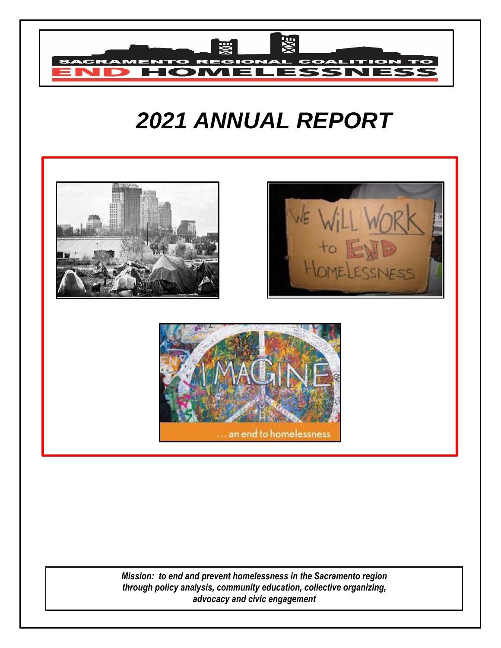

# *2021 ANNUAL REPORT*



*Mission: to end and prevent homelessness in the Sacramento region through policy analysis, community education, collective organizing, advocacy and civic engagement*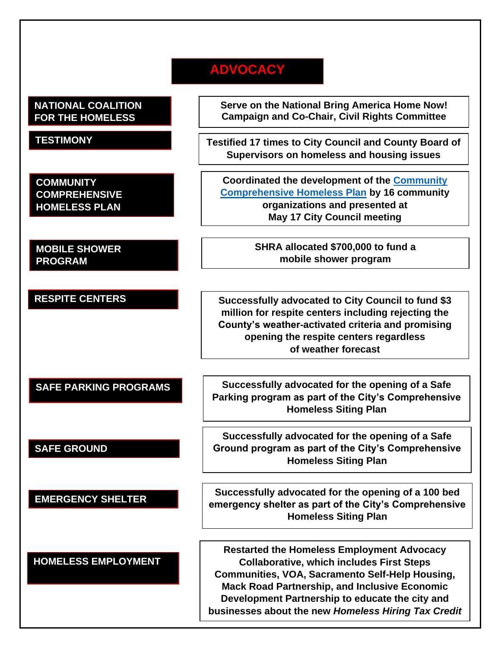## **ADVOCACY**

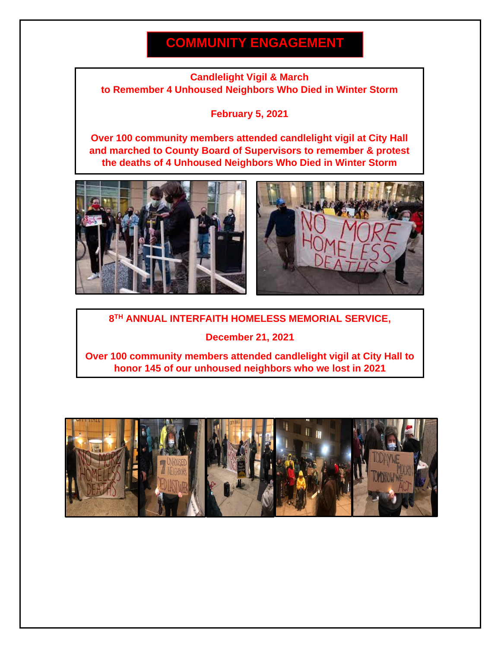## **COMMUNITY ENGAGEMENT**

#### **Candlelight Vigil & March to Remember 4 Unhoused Neighbors Who Died in Winter Storm**

**February 5, 2021**

**Over 100 community members attended candlelight vigil at City Hall and marched to County Board of Supervisors to remember & protest the deaths of 4 Unhoused Neighbors Who Died in Winter Storm**





#### **8 TH ANNUAL INTERFAITH HOMELESS MEMORIAL SERVICE,**

**December 21, 2021**

**Over 100 community members attended candlelight vigil at City Hall to honor 145 of our unhoused neighbors who we lost in 2021**

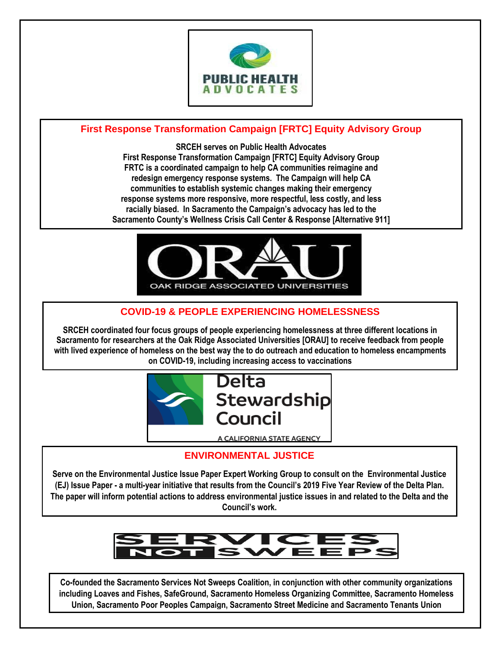

### **First Response Transformation Campaign [FRTC] Equity Advisory Group**

**SRCEH serves on Public Health Advocates First Response Transformation Campaign [FRTC] Equity Advisory Group FRTC is a coordinated campaign to help CA communities reimagine and redesign emergency response systems. The Campaign will help CA communities to establish systemic changes making their emergency response systems more responsive, more respectful, less costly, and less racially biased. In Sacramento the Campaign's advocacy has led to the Sacramento County's Wellness Crisis Call Center & Response [Alternative 911]**



### **COVID-19 & PEOPLE EXPERIENCING HOMELESSNESS**

**SRCEH coordinated four focus groups of people experiencing homelessness at three different locations in Sacramento for researchers at the Oak Ridge Associated Universities [ORAU] to receive feedback from people with lived experience of homeless on the best way the to do outreach and education to homeless encampments on COVID-19, including increasing access to vaccinations**



## **ENVIRONMENTAL JUSTICE**

**Serve on the Environmental Justice Issue Paper Expert Working Group to consult on the Environmental Justice (EJ) Issue Paper - a multi-year initiative that results from the Council's 2019 Five Year Review of the Delta Plan. The paper will inform potential actions to address environmental justice issues in and related to the Delta and the Council's work.**



**Co-founded the Sacramento Services Not Sweeps Coalition, in conjunction with other community organizations including Loaves and Fishes, SafeGround, Sacramento Homeless Organizing Committee, Sacramento Homeless Union, Sacramento Poor Peoples Campaign, Sacramento Street Medicine and Sacramento Tenants Union**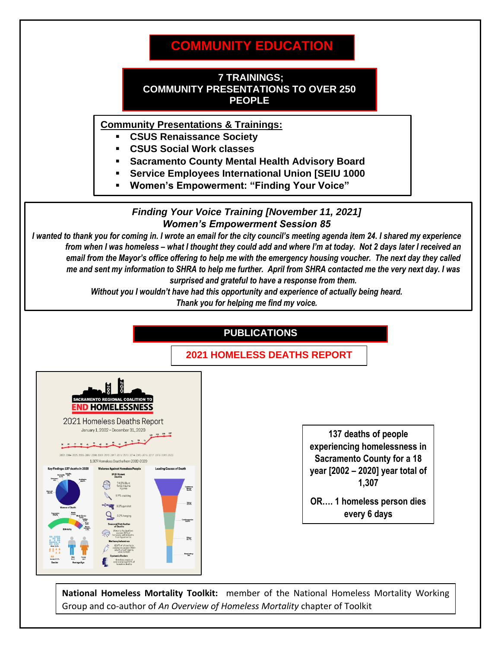## **COMMUNITY EDUCATION**

#### **7 TRAININGS; COMMUNITY PRESENTATIONS TO OVER 250 PEOPLE**

**Community Presentations & Trainings:**

- **CSUS Renaissance Society**
- **CSUS Social Work classes**
- **Sacramento County Mental Health Advisory Board**
- **Service Employees International Union [SEIU 1000**
- **Women's Empowerment: "Finding Your Voice"**

#### *Finding Your Voice Training [November 11, 2021] Women's Empowerment Session 85*

*I wanted to thank you for coming in. I wrote an email for the city council's meeting agenda item 24. I shared my experience from when I was homeless – what I thought they could add and where I'm at today. Not 2 days later I received an email from the Mayor's office offering to help me with the emergency housing voucher. The next day they called me and sent my information to SHRA to help me further. April from SHRA contacted me the very next day. I was surprised and grateful to have a response from them.* 

> *Without you I wouldn't have had this opportunity and experience of actually being heard. Thank you for helping me find my voice.*



**National Homeless Mortality Toolkit:** member of the National Homeless Mortality Working Group and co-author of *An Overview of Homeless Mortality* chapter of Toolkit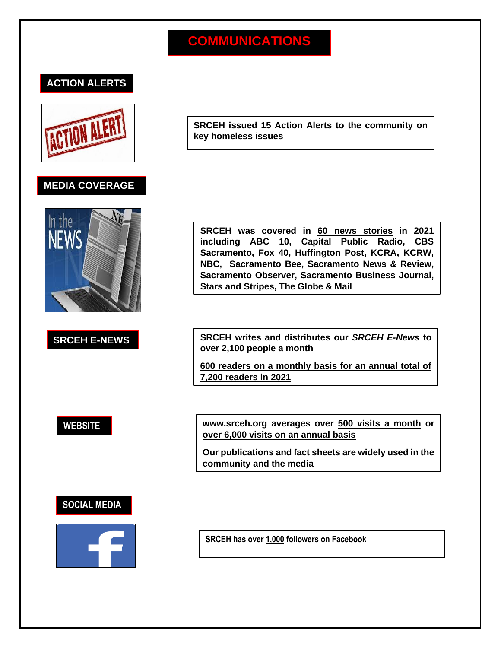## **COMMUNICATIONS**

### **ACTION ALERTS**



#### **MEDIA COVERAGE**



**SRCEH issued 15 Action Alerts to the community on key homeless issues**

**SRCEH was covered in 60 news stories in 2021 including ABC 10, Capital Public Radio, CBS Sacramento, Fox 40, Huffington Post, KCRA, KCRW, NBC, Sacramento Bee, Sacramento News & Review, Sacramento Observer, Sacramento Business Journal, Stars and Stripes, The Globe & Mail**

**SRCEH E-NEWS SRCEH writes and distributes our** *SRCEH E-News* **to over 2,100 people a month**

> **600 readers on a monthly basis for an annual total of 7,200 readers in 2021**

**WEBSITE www.srceh.org averages over 500 visits a month or over 6,000 visits on an annual basis**

> **Our publications and fact sheets are widely used in the community and the media**

### **SOCIAL MEDIA**



**SRCEH has over 1,000 followers on Facebook**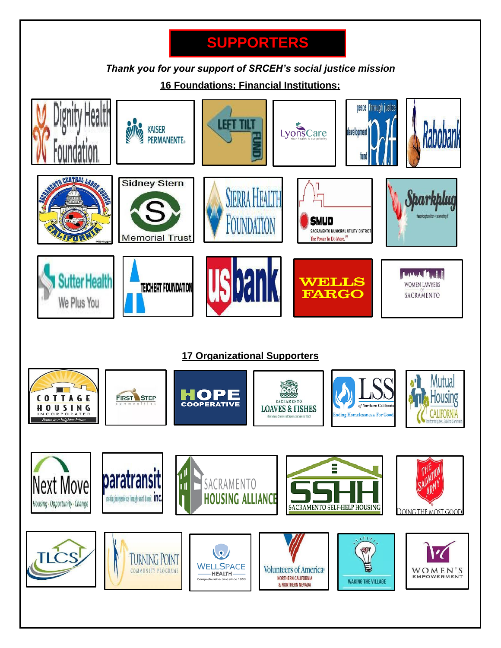## **SUPPORTERS**

*Thank you for your support of SRCEH's social justice mission*

**16 Foundations; Financial Institutions;** 

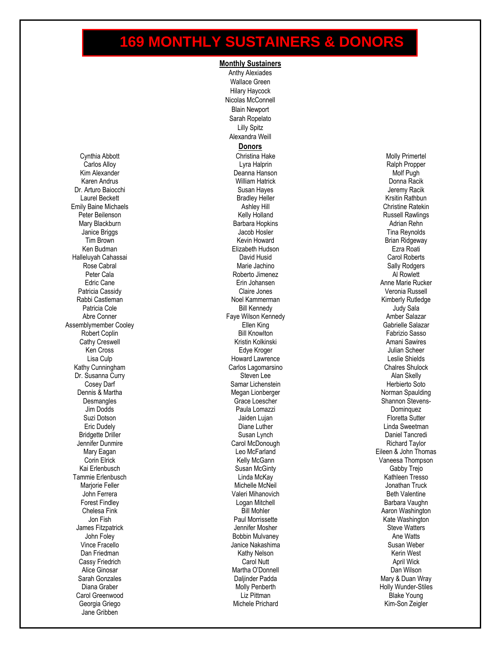## **169 MONTHLY SUSTAINERS & DONORS**

**Monthly Sustainers**

Cynthia Abbott Carlos Alloy Kim Alexander Karen Andrus Dr. Arturo Baiocchi Laurel Beckett Emily Baine Michaels Peter Beilenson Mary Blackburn Janice Briggs Tim Brown Ken Budman Halleluyah Cahassai Rose Cabral Peter Cala Edric Cane Patricia Cassidy Rabbi Castleman Patricia Cole Abre Conner Assemblymember Cooley Robert Coplin Cathy Creswell Ken Cross Lisa Culp Kathy Cunningham Dr. Susanna Curry Cosey Darf Dennis & Martha **Desmangles** Jim Dodds Suzi Dotson Eric Dudely Bridgette Driller Jennifer Dunmire Mary Eagan Corin Elrick Kai Erlenbusch Tammie Erlenbusch Marjorie Feller John Ferrera Forest Findley Chelesa Fink Jon Fish James Fitzpatrick John Foley Vince Fracello Dan Friedman Cassy Friedrich Alice Ginosar Sarah Gonzales Diana Graber Carol Greenwood Georgia Griego Jane Gribben

Anthy Alexiades Wallace Green Hilary Haycock Nicolas McConnell Blain Newport Sarah Ropelato Lilly Spitz Alexandra Weill **Donors** Christina Hake Lyra Halprin Deanna Hanson William Hatrick Susan Hayes Bradley Heller Ashley Hill Kelly Holland Barbara Hopkins Jacob Hosler Kevin Howard Elizabeth Hudson David Husid Marie Jachino Roberto Jimenez Erin Johansen Claire Jones Noel Kammerman Bill Kennedy Faye Wilson Kennedy Ellen King **Bill Knowlton** Kristin Kolkinski Edye Kroger Howard Lawrence Carlos Lagomarsino Steven Lee Samar Lichenstein Megan Lionberger Grace Loescher Paula Lomazzi Jaiden Lujan Diane Luther Susan Lynch Carol McDonough Leo McFarland Kelly McGann Susan McGinty Linda McKay Michelle McNeil Valeri Mihanovich Logan Mitchell Bill Mohler Paul Morrissette Jennifer Mosher Bobbin Mulvaney Janice Nakashima Kathy Nelson Carol Nutt Martha O'Donnell Daljinder Padda Molly Penberth Liz Pittman Michele Prichard

Molly Primertel Ralph Propper Molf Pugh Donna Racik Jeremy Racik Krsitin Rathbun Christine Ratekin Russell Rawlings Adrian Rehn Tina Reynolds Brian Ridgeway Ezra Roati Carol Roberts Sally Rodgers Al Rowlett Anne Marie Rucker Veronia Russell Kimberly Rutledge Judy Sala Amber Salazar Gabrielle Salazar Fabrizio Sasso Amani Sawires Julian Scheer Leslie Shields Chalres Shulock Alan Skelly Herbierto Soto Norman Spaulding Shannon Stevens-Dominquez Floretta Sutter Linda Sweetman Daniel Tancredi Richard Taylor Eileen & John Thomas Vaneesa Thompson Gabby Trejo Kathleen Tresso Jonathan Truck Beth Valentine Barbara Vaughn Aaron Washington Kate Washington Steve Watters Ane Watts Susan Weber Kerin West April Wick Dan Wilson Mary & Duan Wray Holly Wunder-Stiles Blake Young Kim-Son Zeigler